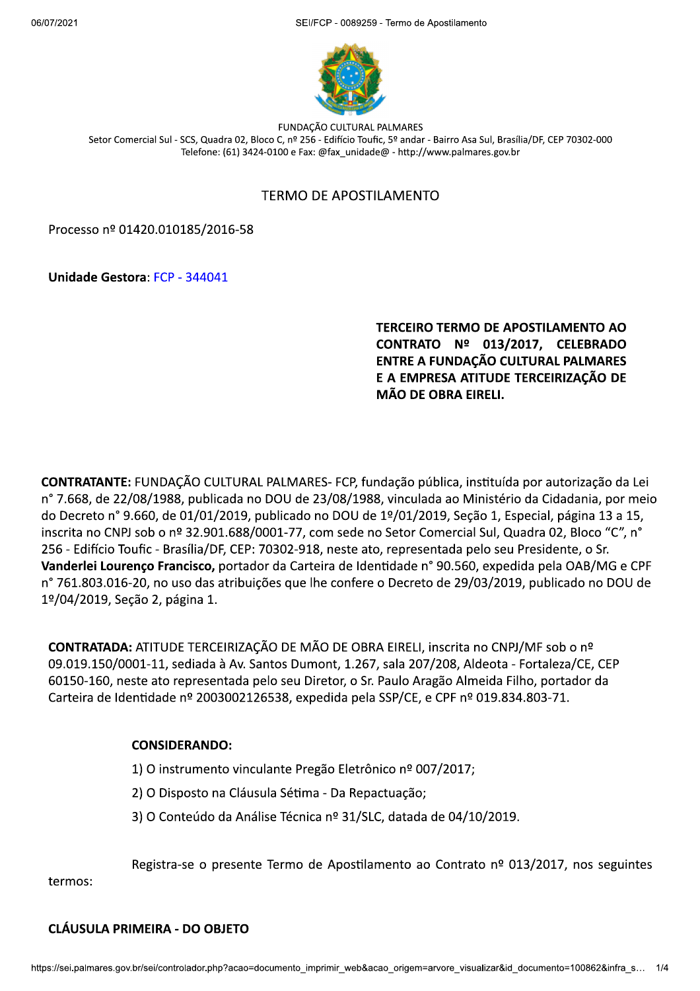$2021$ FCP - 0089259 - Termo de Apostilamento



FUNDAÇÃO CULTURAL PALMARES Setor Comercial Sul - SCS, Quadra 02, Bloco C, nº 256 - Edifício Toufic, 5º andar - Bairro Asa Sul, Brasília/DF, CEP 70302-000 Telefone: (61) 3424-0100 e Fax: @fax unidade@ - http://www.palmares.gov.br

#### TERMO DE APOSTII AMENTO

Processo nº 01420.010185/2016-58

Unidade Gestora: FCP - 344041

TERCEIRO TERMO DE APOSTILAMENTO AO<br>CONTRATO № 013/2017, CELEBRADO<br>ENTRE A FUNDAÇÃO CULTURAL PALMARES E A EMPRESA ATITUDE TERCEIRIZAÇÃO DE MÃO DE OBRA EIRELI.

CONTRATANTE: FUNDAÇÃO CULTURAL PALMARES- FCP, fundação pública, instituída por autorização da Lei nº 7.668, de 22/08/1988, publicada no DOU de 23/08/1988, vinculada ao Ministério da Cidadania, por meio do Decreto nº 9.660, de 01/01/2019, publicado no DOU de 1º/01/2019, Seção 1, Especial, página 13 a 15, inscrita no CNPJ sob o nº 32.901.688/0001-77, com sede no Setor Comercial Sul, Quadra 02, Bloco "C", n° 256 - Edifício Toufic - Brasília/DF, CEP: 70302-918, neste ato, representada pelo seu Presidente, o Sr. Vanderlei Lourenço Francisco, portador da Carteira de Identidade n° 90.560, expedida pela OAB/MG e CPF n° 761.803.016-20, no uso das atribuições que lhe confere o Decreto de 29/03/2019, publicado no DOU de 1º/04/2019, Seção 2, página 1.

**CONTRATADA:** ATITUDE TERCEIRIZAÇÃO DE MÃO DE OBRA EIRELI, inscrita no CNPJ/MF sob o nº 09.019.150/0001-11, sediada à Av. Santos Dumont, 1.267, sala 207/208, Aldeota - Fortaleza/CE, CEP 60150-160, neste ato representada pelo seu Diretor, o Sr. Paulo Aragão Almeida Filho, portador da Carteira de Identidade nº 2003002126538, expedida pela SSP/CE, e CPF nº 019.834.803-71.

## CONSIDERANDO:

- 1) O instrumento vinculante Pregão Eletrônico nº 007/2017;
- 2) O Disposto na Cláusula Sétima Da Repactuação;
- 3) O Conteúdo da Análise Técnica nº 31/SLC, datada de 04/10/2019.

Registra-se o presente Termo de Apostilamento ao Contrato  $n^{\circ}$  013/2017, nos seguintes

termos:

#### CLÁUSULA PRIMEIRA - DO OBJETO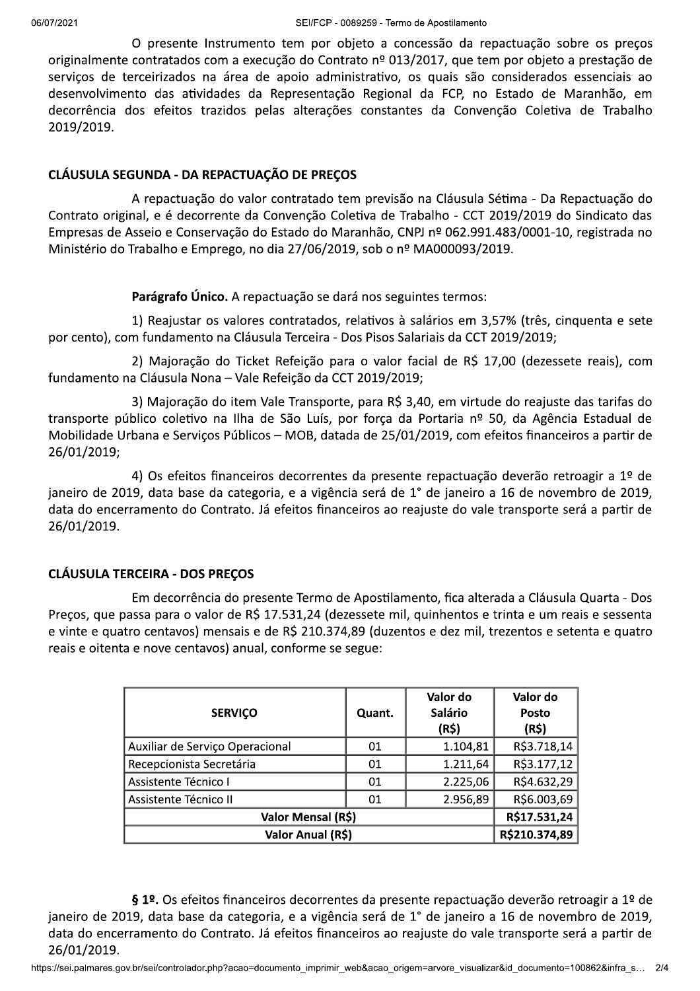O presente Instrumento tem por objeto a concessão da repactuação sobre os preços originalmente contratados com a execução do Contrato nº 013/2017, que tem por objeto a prestação de serviços de terceirizados na área de apoio administrativo, os quais são considerados essenciais ao desenvolvimento das atividades da Representação Regional da FCP, no Estado de Maranhão, em decorrência dos efeitos trazidos pelas alterações constantes da Convenção Coletiva de Trabalho 2019/2019.

#### CLÁUSULA SEGUNDA - DA REPACTUAÇÃO DE PRECOS

A repactuação do valor contratado tem previsão na Cláusula Sétima - Da Repactuação do Contrato original, e é decorrente da Convenção Coletiva de Trabalho - CCT 2019/2019 do Sindicato das Empresas de Asseio e Conservação do Estado do Maranhão, CNPJ nº 062.991.483/0001-10, registrada no Ministério do Trabalho e Emprego, no dia 27/06/2019, sob o nº MA000093/2019.

#### Parágrafo Único. A repactuação se dará nos seguintes termos:

1) Reajustar os valores contratados, relativos à salários em 3,57% (três, cinquenta e sete por cento), com fundamento na Cláusula Terceira - Dos Pisos Salariais da CCT 2019/2019;

2) Majoração do Ticket Refeição para o valor facial de R\$ 17,00 (dezessete reais), com fundamento na Cláusula Nona - Vale Refeição da CCT 2019/2019;

3) Majoração do item Vale Transporte, para R\$ 3,40, em virtude do reajuste das tarifas do transporte público coletivo na Ilha de São Luís, por força da Portaria nº 50, da Agência Estadual de Mobilidade Urbana e Serviços Públicos - MOB, datada de 25/01/2019, com efeitos financeiros a partir de 26/01/2019;

4) Os efeitos financeiros decorrentes da presente repactuação deverão retroagir a 1º de janeiro de 2019, data base da categoria, e a vigência será de 1° de janeiro a 16 de novembro de 2019, data do encerramento do Contrato. Já efeitos financeiros ao reajuste do vale transporte será a partir de 26/01/2019.

## **CLÁUSULA TERCEIRA - DOS PRECOS**

Em decorrência do presente Termo de Apostilamento, fica alterada a Cláusula Quarta - Dos Preços, que passa para o valor de R\$ 17.531,24 (dezessete mil, quinhentos e trinta e um reais e sessenta e vinte e quatro centavos) mensais e de R\$ 210.374,89 (duzentos e dez mil, trezentos e setenta e quatro reais e oitenta e nove centavos) anual, conforme se segue:

| <b>SERVIÇO</b>                  | Quant. | Valor do<br><b>Salário</b><br>(R\$) | Valor do<br>Posto<br>(R\$) |
|---------------------------------|--------|-------------------------------------|----------------------------|
| Auxiliar de Serviço Operacional | 01     | 1.104,81                            | R\$3.718,14                |
| Recepcionista Secretária        | 01     | 1.211,64                            | R\$3.177,12                |
| Assistente Técnico I            | 01     | 2.225,06                            | R\$4.632,29                |
| Assistente Técnico II           | 01     | 2.956,89                            | R\$6.003,69                |
| Valor Mensal (R\$)              |        |                                     | R\$17.531,24               |
| Valor Anual (R\$)               |        |                                     | R\$210.374,89              |

§ 1º. Os efeitos financeiros decorrentes da presente repactuação deverão retroagir a 1º de janeiro de 2019, data base da categoria, e a vigência será de 1° de janeiro a 16 de novembro de 2019, data do encerramento do Contrato. Já efeitos financeiros ao reajuste do vale transporte será a partir de 26/01/2019.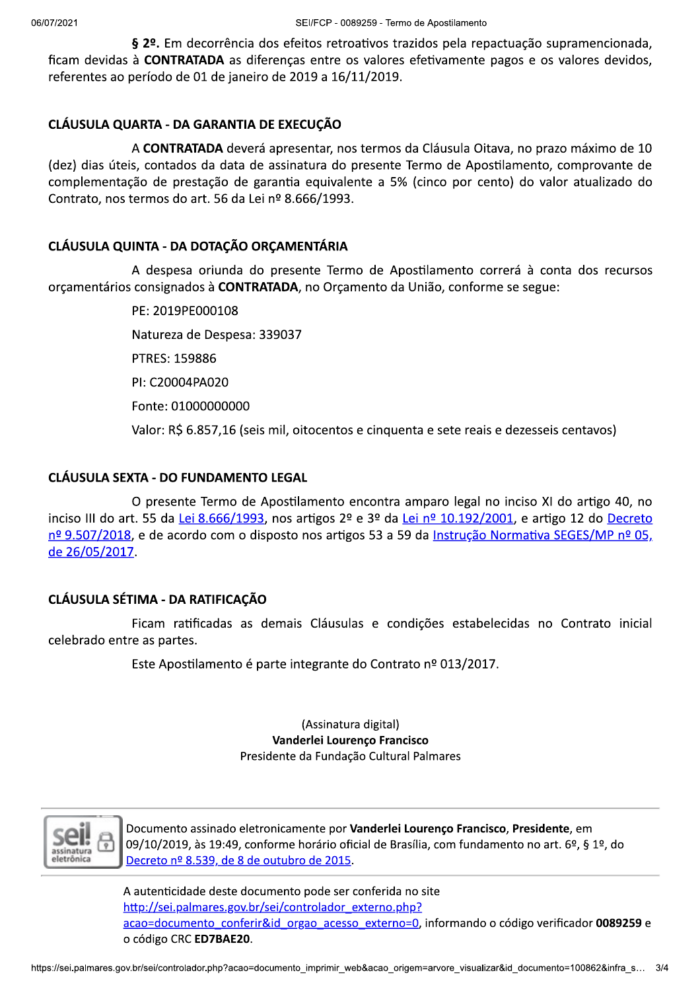§ 2º. Em decorrência dos efeitos retroativos trazidos pela repactuação supramencionada, ficam devidas à CONTRATADA as diferencas entre os valores efetivamente pagos e os valores devidos, referentes ao período de 01 de janeiro de 2019 a 16/11/2019.

# CLÁUSULA QUARTA - DA GARANTIA DE EXECUÇÃO

A CONTRATADA deverá apresentar, nos termos da Cláusula Oitava, no prazo máximo de 10 (dez) dias úteis, contados da data de assinatura do presente Termo de Apostilamento, comprovante de complementação de prestação de garantia equivalente a 5% (cinco por cento) do valor atualizado do Contrato, nos termos do art. 56 da Lei nº 8.666/1993.

# CLÁUSULA QUINTA - DA DOTAÇÃO ORÇAMENTÁRIA

A despesa oriunda do presente Termo de Apostilamento correrá à conta dos recursos orçamentários consignados à CONTRATADA, no Orçamento da União, conforme se segue:

PE: 2019PE000108

Natureza de Despesa: 339037

PTRES: 159886

PI: C20004PA020

Fonte: 01000000000

Valor: R\$ 6.857,16 (seis mil, oitocentos e cinquenta e sete reais e dezesseis centavos)

## **CLÁUSULA SEXTA - DO FUNDAMENTO LEGAL**

O presente Termo de Apostilamento encontra amparo legal no inciso XI do artigo 40, no inciso III do art. 55 da Lei 8.666/1993, nos artigos 2º e 3º da Lei nº 10.192/2001, e artigo 12 do Decreto nº 9.507/2018, e de acordo com o disposto nos artigos 53 a 59 da Instrução Normativa SEGES/MP nº 05. de 26/05/2017.

## CLÁUSULA SÉTIMA - DA RATIFICAÇÃO

Ficam ratificadas as demais Cláusulas e condições estabelecidas no Contrato inicial celebrado entre as partes.

Este Apostilamento é parte integrante do Contrato nº 013/2017.

(Assinatura digital) Vanderlei Lourenço Francisco Presidente da Fundação Cultural Palmares



Documento assinado eletronicamente por Vanderlei Lourenço Francisco, Presidente, em 09/10/2019, às 19:49, conforme horário oficial de Brasília, com fundamento no art. 6º, § 1º, do Decreto nº 8.539, de 8 de outubro de 2015.

A autenticidade deste documento pode ser conferida no site http://sei.palmares.gov.br/sei/controlador\_externo.php? acao=documento conferir&id orgao acesso externo=0, informando o código verificador 0089259 e o código CRC ED7BAE20.